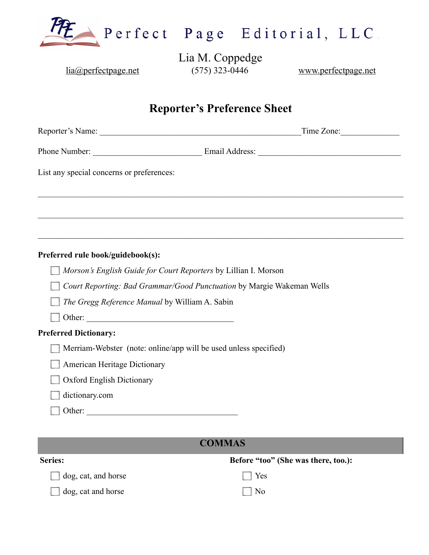

Lia M. Coppedge [lia@perfectpage.net](mailto:lia@perfectpage.net) (575) 323-0446 [www.perfectpage.net](http://www.perfectpage.net)

# **Reporter's Preference Sheet**

| List any special concerns or preferences:                             |  |
|-----------------------------------------------------------------------|--|
|                                                                       |  |
|                                                                       |  |
| Preferred rule book/guidebook(s):                                     |  |
| Morson's English Guide for Court Reporters by Lillian I. Morson       |  |
| Court Reporting: Bad Grammar/Good Punctuation by Margie Wakeman Wells |  |
| The Gregg Reference Manual by William A. Sabin                        |  |
| Other:                                                                |  |
| <b>Preferred Dictionary:</b>                                          |  |
| Merriam-Webster (note: online/app will be used unless specified)      |  |
| American Heritage Dictionary                                          |  |
| <b>Oxford English Dictionary</b>                                      |  |
| dictionary.com                                                        |  |
|                                                                       |  |

### **COMMAS**

| <b>Series:</b>          | Before "too" (She was there, too.): |
|-------------------------|-------------------------------------|
| $\log$ , cat, and horse | $\vert$ Yes                         |
| dog, cat and horse      | $\Box$ No                           |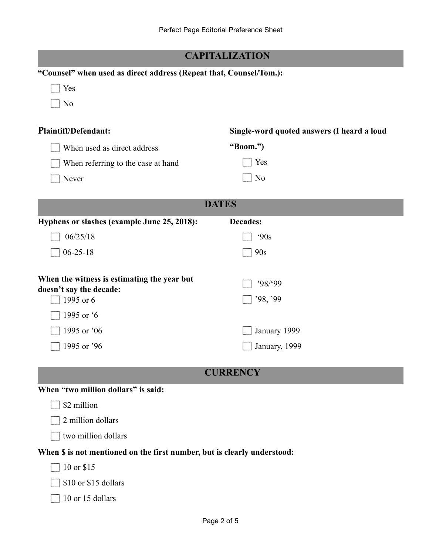|                                                                                     | <b>CAPITALIZATION</b>                      |  |  |
|-------------------------------------------------------------------------------------|--------------------------------------------|--|--|
| "Counsel" when used as direct address (Repeat that, Counsel/Tom.):                  |                                            |  |  |
| Yes                                                                                 |                                            |  |  |
| N <sub>0</sub>                                                                      |                                            |  |  |
| <b>Plaintiff/Defendant:</b>                                                         | Single-word quoted answers (I heard a loud |  |  |
| When used as direct address                                                         | "Boom.")                                   |  |  |
| When referring to the case at hand                                                  | Yes                                        |  |  |
| Never                                                                               | N <sub>0</sub>                             |  |  |
| <b>DATES</b>                                                                        |                                            |  |  |
| Hyphens or slashes (example June 25, 2018):                                         | <b>Decades:</b>                            |  |  |
| 06/25/18                                                                            | 90s                                        |  |  |
| $06 - 25 - 18$                                                                      | 90s                                        |  |  |
| When the witness is estimating the year but<br>doesn't say the decade:<br>1995 or 6 | '98'99<br>'98, '99                         |  |  |
| 1995 or '6                                                                          |                                            |  |  |
| 1995 or '06                                                                         | January 1999                               |  |  |
| 1995 or '96                                                                         | January, 1999                              |  |  |
|                                                                                     | <b>CURRENCY</b>                            |  |  |
| When "two million dollars" is said:                                                 |                                            |  |  |
| \$2 million                                                                         |                                            |  |  |
| 2 million dollars                                                                   |                                            |  |  |
| two million dollars                                                                 |                                            |  |  |
| When \$ is not mentioned on the first number, but is clearly understood:            |                                            |  |  |
| 10 or \$15                                                                          |                                            |  |  |
| \$10 or \$15 dollars                                                                |                                            |  |  |
| 10 or 15 dollars                                                                    |                                            |  |  |
|                                                                                     |                                            |  |  |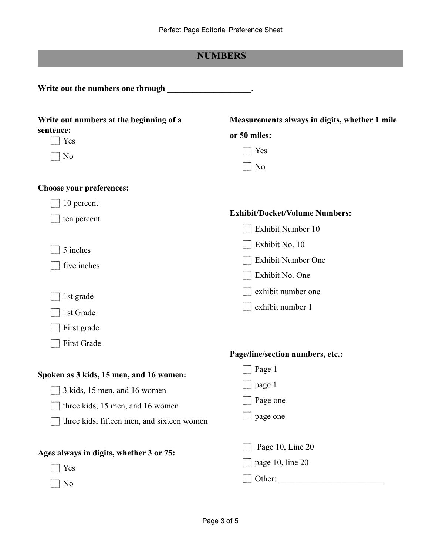## **NUMBERS**

| Write out numbers at the beginning of a<br>sentence:<br>Yes<br>N <sub>0</sub>                                                                             | Measurements always in digits, whether 1 mile<br>or 50 miles:<br>Yes<br>N <sub>0</sub> |
|-----------------------------------------------------------------------------------------------------------------------------------------------------------|----------------------------------------------------------------------------------------|
| Choose your preferences:<br>10 percent<br>ten percent                                                                                                     | <b>Exhibit/Docket/Volume Numbers:</b><br>Exhibit Number 10                             |
| 5 inches<br>five inches                                                                                                                                   | Exhibit No. 10<br><b>Exhibit Number One</b><br>Exhibit No. One<br>exhibit number one   |
| 1st grade<br>1st Grade<br>First grade<br>First Grade                                                                                                      | exhibit number 1                                                                       |
| Spoken as 3 kids, 15 men, and 16 women:<br>3 kids, 15 men, and 16 women<br>three kids, 15 men, and 16 women<br>three kids, fifteen men, and sixteen women | Page/line/section numbers, etc.:<br>Page 1<br>$\Box$<br>page 1<br>Page one<br>page one |
| Ages always in digits, whether 3 or 75:<br>Yes<br>No                                                                                                      | Page 10, Line 20<br>page 10, line 20                                                   |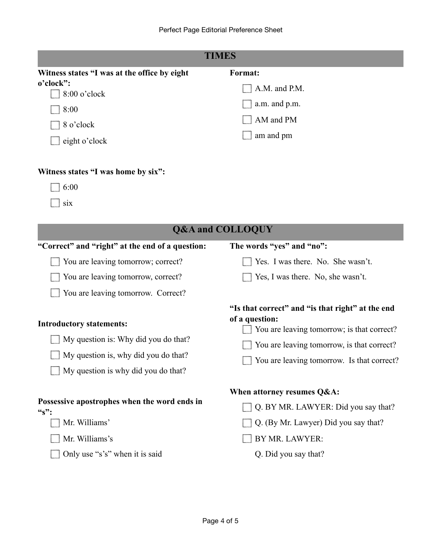| TIMES                                                                                                                                                         |                                                                                                                                                                                                              |  |
|---------------------------------------------------------------------------------------------------------------------------------------------------------------|--------------------------------------------------------------------------------------------------------------------------------------------------------------------------------------------------------------|--|
| Witness states "I was at the office by eight<br>o'clock":<br>8:00 o'clock<br>8:00<br>8 o'clock<br>eight o'clock                                               | <b>Format:</b><br>A.M. and P.M.<br>a.m. and p.m.<br>AM and PM<br>am and pm                                                                                                                                   |  |
| Witness states "I was home by six":<br>6:00<br>six<br><b>Q&amp;A and COLLOQUY</b>                                                                             |                                                                                                                                                                                                              |  |
|                                                                                                                                                               |                                                                                                                                                                                                              |  |
| "Correct" and "right" at the end of a question:<br>You are leaving tomorrow; correct?                                                                         | The words "yes" and "no":<br>Yes. I was there. No. She wasn't.                                                                                                                                               |  |
| You are leaving tomorrow, correct?                                                                                                                            | Yes, I was there. No, she wasn't.                                                                                                                                                                            |  |
| You are leaving tomorrow. Correct?                                                                                                                            |                                                                                                                                                                                                              |  |
| <b>Introductory statements:</b><br>My question is: Why did you do that?<br>$\Box$ My question is, why did you do that?<br>My question is why did you do that? | "Is that correct" and "is that right" at the end<br>of a question:<br>You are leaving tomorrow; is that correct?<br>You are leaving tomorrow, is that correct?<br>You are leaving tomorrow. Is that correct? |  |
| Possessive apostrophes when the word ends in<br>$\mathbf{``s":}$<br>Mr. Williams'<br>Mr. Williams's<br>Only use "s's" when it is said                         | When attorney resumes Q&A:<br>Q. BY MR. LAWYER: Did you say that?<br>Q. (By Mr. Lawyer) Did you say that?<br>BY MR. LAWYER:<br>Q. Did you say that?                                                          |  |